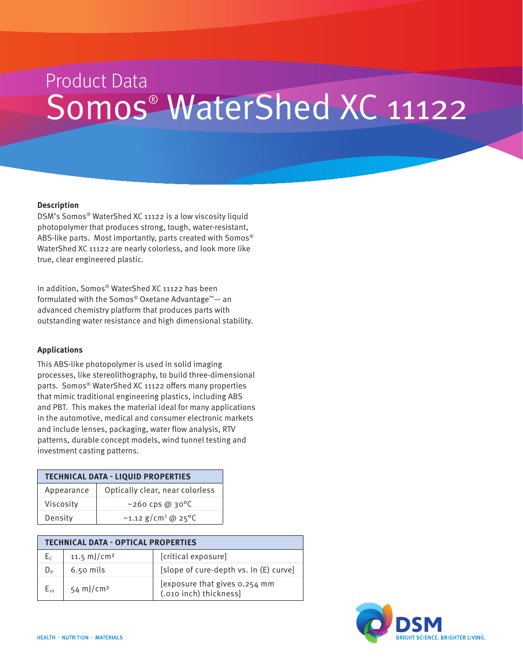# Somos® WaterShed XC 11122 Product Data

### **Description**

DSM's Somos® WaterShed XC 11122 is a low viscosity liquid photopolymer that produces strong, tough, water-resistant, ABS-like parts. Most importantly, parts created with Somos® WaterShed XC 11122 are nearly colorless, and look more like true, clear engineered plastic.

In addition, Somos® WaterShed XC 11122 has been formulated with the Somos® Oxetane Advantage™— an advanced chemistry platform that produces parts with outstanding water resistance and high dimensional stability.

# **Applications**

This ABS-like photopolymer is used in solid imaging processes, like stereolithography, to build three-dimensional parts. Somos® WaterShed XC 11122 offers many properties that mimic traditional engineering plastics, including ABS and PBT. This makes the material ideal for many applications in the automotive, medical and consumer electronic markets and include lenses, packaging, water flow analysis, RTV patterns, durable concept models, wind tunnel testing and investment casting patterns.

| <b>TECHNICAL DATA - LIQUID PROPERTIES</b> |                                             |  |  |  |
|-------------------------------------------|---------------------------------------------|--|--|--|
| Appearance                                | Optically clear, near colorless             |  |  |  |
| Viscosity                                 | ~260 cps @ 30 $^{\circ}$ C                  |  |  |  |
| Density                                   | ~1.12 g/cm <sup>3</sup> @ 25 <sup>o</sup> C |  |  |  |

| <b>TECHNICAL DATA - OPTICAL PROPERTIES</b> |                         |                                                         |  |  |
|--------------------------------------------|-------------------------|---------------------------------------------------------|--|--|
|                                            | 11.5 mJ/cm <sup>2</sup> | [critical exposure]                                     |  |  |
|                                            | $6.50$ mils             | [slope of cure-depth vs. In (E) curve]                  |  |  |
|                                            | 54 mJ/cm <sup>2</sup>   | [exposure that gives 0.254 mm<br>(.010 inch) thickness] |  |  |